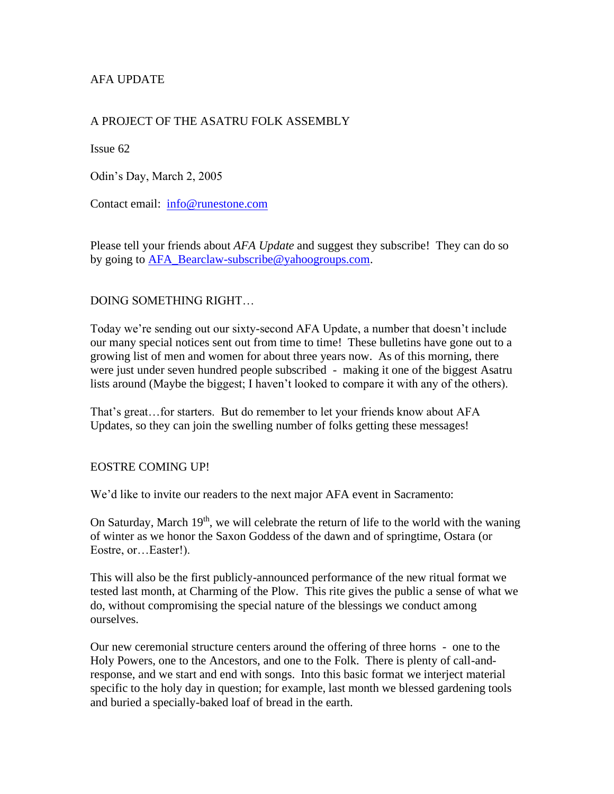# AFA UPDATE

## A PROJECT OF THE ASATRU FOLK ASSEMBLY

Issue 62

Odin's Day, March 2, 2005

Contact email: [info@runestone.com](mailto:info@runestone.com)

Please tell your friends about *AFA Update* and suggest they subscribe! They can do so by going to [AFA\\_Bearclaw-subscribe@yahoogroups.com.](mailto:AFA_Bearclaw-subscribe@yahoogroups.com)

### DOING SOMETHING RIGHT…

Today we're sending out our sixty-second AFA Update, a number that doesn't include our many special notices sent out from time to time! These bulletins have gone out to a growing list of men and women for about three years now. As of this morning, there were just under seven hundred people subscribed - making it one of the biggest Asatru lists around (Maybe the biggest; I haven't looked to compare it with any of the others).

That's great…for starters. But do remember to let your friends know about AFA Updates, so they can join the swelling number of folks getting these messages!

#### EOSTRE COMING UP!

We'd like to invite our readers to the next major AFA event in Sacramento:

On Saturday, March  $19<sup>th</sup>$ , we will celebrate the return of life to the world with the waning of winter as we honor the Saxon Goddess of the dawn and of springtime, Ostara (or Eostre, or…Easter!).

This will also be the first publicly-announced performance of the new ritual format we tested last month, at Charming of the Plow. This rite gives the public a sense of what we do, without compromising the special nature of the blessings we conduct among ourselves.

Our new ceremonial structure centers around the offering of three horns - one to the Holy Powers, one to the Ancestors, and one to the Folk. There is plenty of call-andresponse, and we start and end with songs. Into this basic format we interject material specific to the holy day in question; for example, last month we blessed gardening tools and buried a specially-baked loaf of bread in the earth.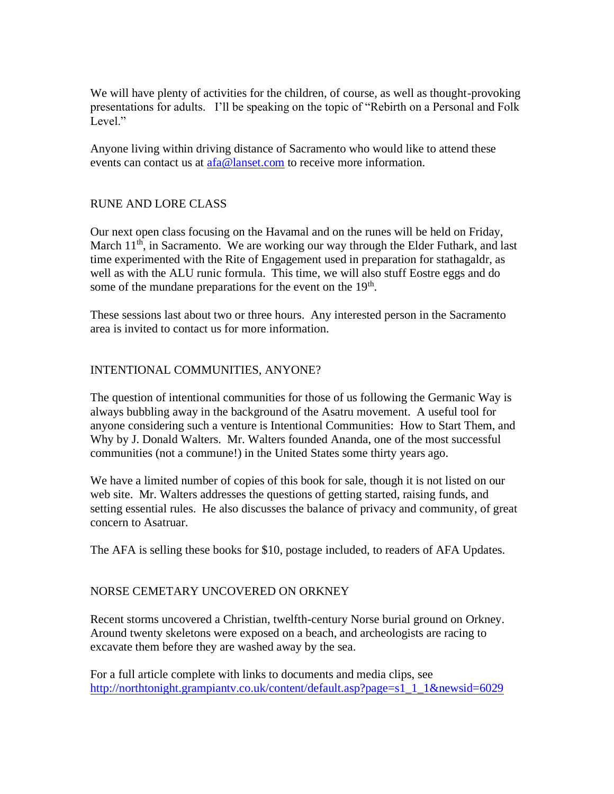We will have plenty of activities for the children, of course, as well as thought-provoking presentations for adults. I'll be speaking on the topic of "Rebirth on a Personal and Folk Level."

Anyone living within driving distance of Sacramento who would like to attend these events can contact us at [afa@lanset.com](mailto:afa@lanset.com) to receive more information.

### RUNE AND LORE CLASS

Our next open class focusing on the Havamal and on the runes will be held on Friday, March  $11<sup>th</sup>$ , in Sacramento. We are working our way through the Elder Futhark, and last time experimented with the Rite of Engagement used in preparation for stathagaldr, as well as with the ALU runic formula. This time, we will also stuff Eostre eggs and do some of the mundane preparations for the event on the 19<sup>th</sup>.

These sessions last about two or three hours. Any interested person in the Sacramento area is invited to contact us for more information.

### INTENTIONAL COMMUNITIES, ANYONE?

The question of intentional communities for those of us following the Germanic Way is always bubbling away in the background of the Asatru movement. A useful tool for anyone considering such a venture is Intentional Communities: How to Start Them, and Why by J. Donald Walters. Mr. Walters founded Ananda, one of the most successful communities (not a commune!) in the United States some thirty years ago.

We have a limited number of copies of this book for sale, though it is not listed on our web site. Mr. Walters addresses the questions of getting started, raising funds, and setting essential rules. He also discusses the balance of privacy and community, of great concern to Asatruar.

The AFA is selling these books for \$10, postage included, to readers of AFA Updates.

### NORSE CEMETARY UNCOVERED ON ORKNEY

Recent storms uncovered a Christian, twelfth-century Norse burial ground on Orkney. Around twenty skeletons were exposed on a beach, and archeologists are racing to excavate them before they are washed away by the sea.

For a full article complete with links to documents and media clips, see [http://northtonight.grampiantv.co.uk/content/default.asp?page=s1\\_1\\_1&newsid=6029](http://northtonight.grampiantv.co.uk/content/default.asp?page=s1_1_1&newsid=6029)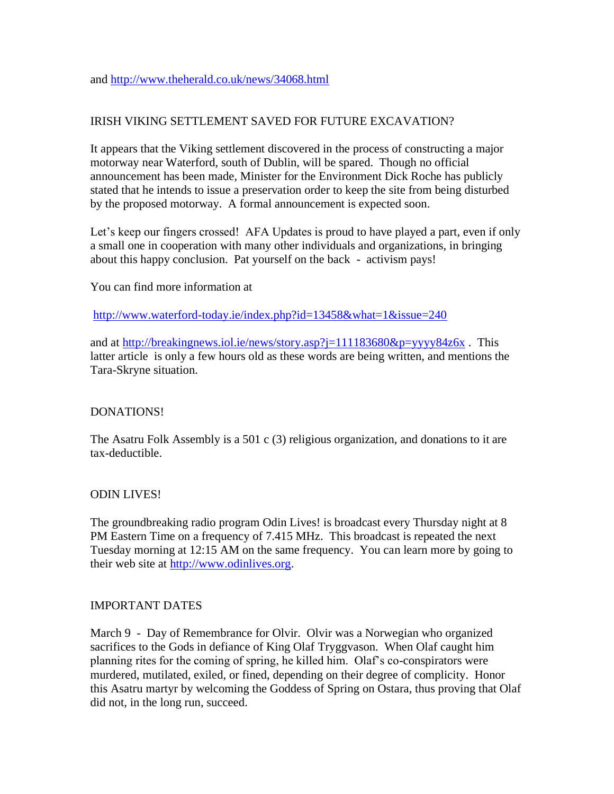## IRISH VIKING SETTLEMENT SAVED FOR FUTURE EXCAVATION?

It appears that the Viking settlement discovered in the process of constructing a major motorway near Waterford, south of Dublin, will be spared. Though no official announcement has been made, Minister for the Environment Dick Roche has publicly stated that he intends to issue a preservation order to keep the site from being disturbed by the proposed motorway. A formal announcement is expected soon.

Let's keep our fingers crossed! AFA Updates is proud to have played a part, even if only a small one in cooperation with many other individuals and organizations, in bringing about this happy conclusion. Pat yourself on the back - activism pays!

You can find more information at

<http://www.waterford-today.ie/index.php?id=13458&what=1&issue=240>

and at<http://breakingnews.iol.ie/news/story.asp?j=111183680&p=yyyy84z6x> . This latter article is only a few hours old as these words are being written, and mentions the Tara-Skryne situation.

### DONATIONS!

The Asatru Folk Assembly is a 501 c (3) religious organization, and donations to it are tax-deductible.

#### ODIN LIVES!

The groundbreaking radio program Odin Lives! is broadcast every Thursday night at 8 PM Eastern Time on a frequency of 7.415 MHz. This broadcast is repeated the next Tuesday morning at 12:15 AM on the same frequency. You can learn more by going to their web site at [http://www.odinlives.org.](http://www.odinlives.org/)

#### IMPORTANT DATES

March 9 - Day of Remembrance for Olvir. Olvir was a Norwegian who organized sacrifices to the Gods in defiance of King Olaf Tryggvason. When Olaf caught him planning rites for the coming of spring, he killed him. Olaf's co-conspirators were murdered, mutilated, exiled, or fined, depending on their degree of complicity. Honor this Asatru martyr by welcoming the Goddess of Spring on Ostara, thus proving that Olaf did not, in the long run, succeed.